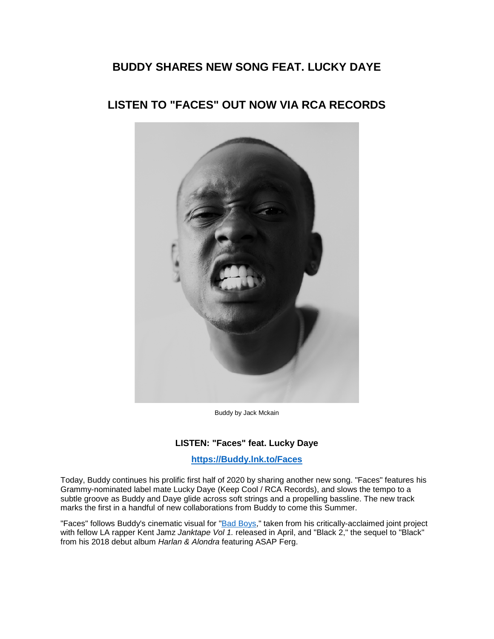## **BUDDY SHARES NEW SONG FEAT. LUCKY DAYE**

# **LISTEN TO "FACES" OUT NOW VIA RCA RECORDS**



Buddy by Jack Mckain

## **LISTEN: "Faces" feat. Lucky Daye**

**[https://Buddy.lnk.to/Faces](https://eur01.safelinks.protection.outlook.com/?url=https%3A%2F%2Fbuddy.lnk.to%2FFaces&data=02%7C01%7Ckirsten.mikkelson%40rcarecords.com%7Cde0fa7e674584c7516a108d81dd8cafe%7Cf0aff3b791a54aaeaf71c63e1dda2049%7C0%7C0%7C637292164246586757&sdata=SQqxg%2BnQlfIiqVaT6Hn24ZdBGTBGG7Oyn5lKMBQuvZE%3D&reserved=0)**

Today, Buddy continues his prolific first half of 2020 by sharing another new song. "Faces" features his Grammy-nominated label mate Lucky Daye (Keep Cool / RCA Records), and slows the tempo to a subtle groove as Buddy and Daye glide across soft strings and a propelling bassline. The new track marks the first in a handful of new collaborations from Buddy to come this Summer.

"Faces" follows Buddy's cinematic visual for ["Bad Boys,](https://eur01.safelinks.protection.outlook.com/?url=https%3A%2F%2Fyoutu.be%2F50_dc_L50fI&data=02%7C01%7Ckirsten.mikkelson%40rcarecords.com%7Cde0fa7e674584c7516a108d81dd8cafe%7Cf0aff3b791a54aaeaf71c63e1dda2049%7C0%7C0%7C637292164246596751&sdata=uZN2lYYEe5%2Ba47IVZUgbu18Wm64CjzWxVKaYejdqZ9U%3D&reserved=0)" taken from his critically-acclaimed joint project with fellow LA rapper Kent Jamz *Janktape Vol 1.* released in April, and "Black 2," the sequel to "Black" from his 2018 debut album *Harlan & Alondra* featuring ASAP Ferg.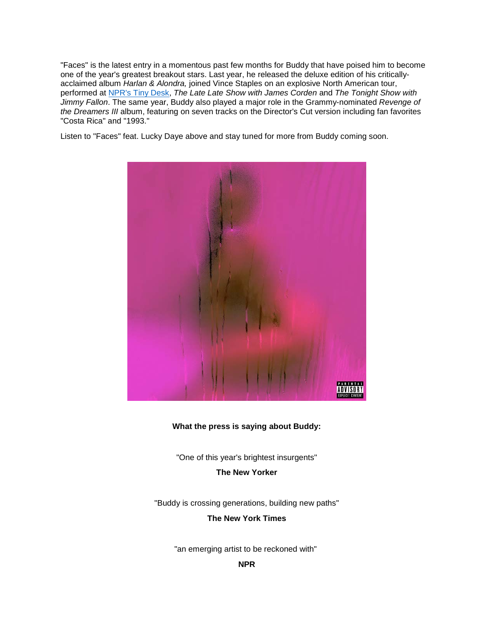"Faces" is the latest entry in a momentous past few months for Buddy that have poised him to become one of the year's greatest breakout stars. Last year, he released the deluxe edition of his criticallyacclaimed album *Harlan & Alondra,* joined Vince Staples on an explosive North American tour, performed at [NPR's Tiny Desk,](https://eur01.safelinks.protection.outlook.com/?url=https%3A%2F%2Fwww.youtube.com%2Fwatch%3Fv%3DUU5a8xIiuWc&data=02%7C01%7Ckirsten.mikkelson%40rcarecords.com%7Cde0fa7e674584c7516a108d81dd8cafe%7Cf0aff3b791a54aaeaf71c63e1dda2049%7C0%7C0%7C637292164246596751&sdata=Ng%2FZNHq%2BM61PhN7p%2FokvdKGiPD63JM8eHQ7GXW9H%2BiM%3D&reserved=0) *The Late Late Show with James Corden* and *The Tonight Show with Jimmy Fallon*. The same year, Buddy also played a major role in the Grammy-nominated *Revenge of the Dreamers III* album, featuring on seven tracks on the Director's Cut version including fan favorites "Costa Rica" and "1993."

Listen to "Faces" feat. Lucky Daye above and stay tuned for more from Buddy coming soon.



#### **What the press is saying about Buddy:**

"One of this year's brightest insurgents"

**The New Yorker**

"Buddy is crossing generations, building new paths" **The New York Times**

"an emerging artist to be reckoned with"

**NPR**